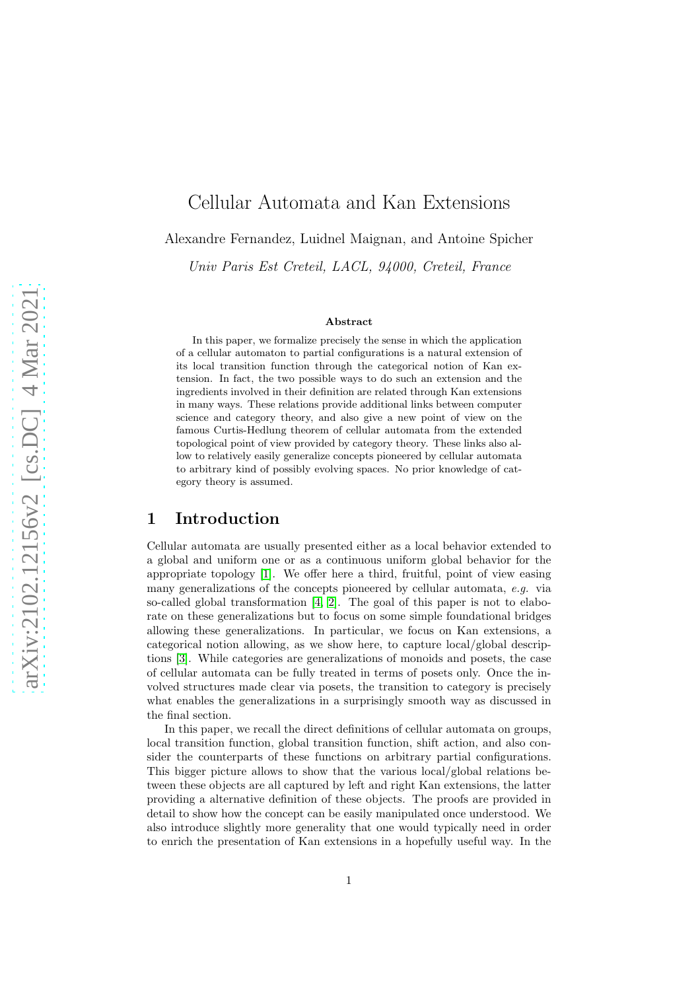# Cellular Automata and Kan Extensions

Alexandre Fernandez, Luidnel Maignan, and Antoine Spicher

Univ Paris Est Creteil, LACL, 94000, Creteil, France

#### Abstract

In this paper, we formalize precisely the sense in which the application of a cellular automaton to partial configurations is a natural extension of its local transition function through the categorical notion of Kan extension. In fact, the two possible ways to do such an extension and the ingredients involved in their definition are related through Kan extensions in many ways. These relations provide additional links between computer science and category theory, and also give a new point of view on the famous Curtis-Hedlung theorem of cellular automata from the extended topological point of view provided by category theory. These links also allow to relatively easily generalize concepts pioneered by cellular automata to arbitrary kind of possibly evolving spaces. No prior knowledge of category theory is assumed.

## 1 Introduction

Cellular automata are usually presented either as a local behavior extended to a global and uniform one or as a continuous uniform global behavior for the appropriate topology [\[1\]](#page-11-0). We offer here a third, fruitful, point of view easing many generalizations of the concepts pioneered by cellular automata, *e.g.* via so-called global transformation [4, 2]. The goal of this paper is not to elaborate on these generalizations but to focus on some simple foundational bridges allowing these generalizations. In particular, we focus on Kan extensions, a categorical notion allowing, as we show here, to capture local/global descriptions [\[3\]](#page-11-1). While categories are generalizations of monoids and posets, the case of cellular automata can be fully treated in terms of posets only. Once the involved structures made clear via posets, the transition to category is precisely what enables the generalizations in a surprisingly smooth way as discussed in the final section.

In this paper, we recall the direct definitions of cellular automata on groups, local transition function, global transition function, shift action, and also consider the counterparts of these functions on arbitrary partial configurations. This bigger picture allows to show that the various local/global relations between these objects are all captured by left and right Kan extensions, the latter providing a alternative definition of these objects. The proofs are provided in detail to show how the concept can be easily manipulated once understood. We also introduce slightly more generality that one would typically need in order to enrich the presentation of Kan extensions in a hopefully useful way. In the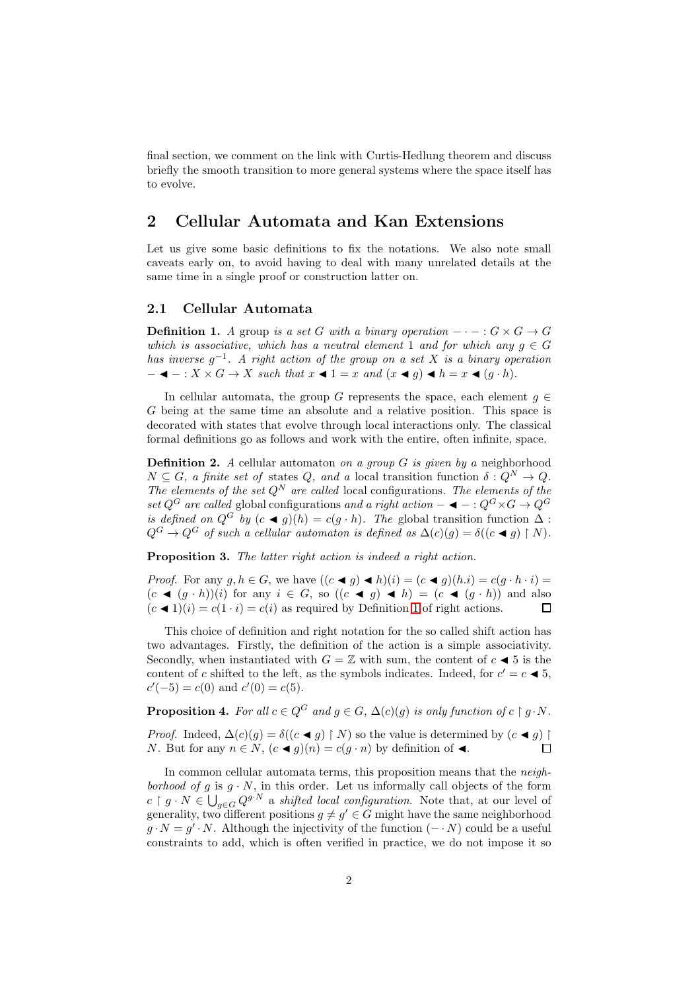final section, we comment on the link with Curtis-Hedlung theorem and discuss briefly the smooth transition to more general systems where the space itself has to evolve.

# 2 Cellular Automata and Kan Extensions

Let us give some basic definitions to fix the notations. We also note small caveats early on, to avoid having to deal with many unrelated details at the same time in a single proof or construction latter on.

### 2.1 Cellular Automata

<span id="page-1-0"></span>**Definition 1.** *A* group *is a set* G *with a binary operation*  $-\cdot - : G \times G \rightarrow G$ *which is associative, which has a neutral element* 1 *and for which any*  $q \in G$ *has inverse* g −1 *. A right action of the group on a set* X *is a binary operation*  $- \blacktriangleleft - : X \times G \to X$  *such that*  $x \blacktriangleleft 1 = x$  *and*  $(x \blacktriangleleft g) \blacktriangleleft h = x \blacktriangleleft (g \cdot h)$ *.* 

In cellular automata, the group G represents the space, each element  $q \in$ G being at the same time an absolute and a relative position. This space is decorated with states that evolve through local interactions only. The classical formal definitions go as follows and work with the entire, often infinite, space.

<span id="page-1-3"></span>Definition 2. *A* cellular automaton *on a group* G *is given by a* neighborhood  $N \subseteq G$ , a finite set of states Q, and a local transition function  $\delta: Q^N \to Q$ . *The elements of the set*  $Q^N$  *are called* local configurations. The elements of the *set*  $Q^G$  *are called* global configurations *and a right action* –  $\blacktriangleleft - : Q^G \times G \rightarrow Q^G$ *is defined on*  $Q^G$  *by*  $(c \blacktriangleleft g)(h) = c(g \cdot h)$ *. The* global transition function  $\Delta$ :  $Q^G \to Q^G$  of such a cellular automaton is defined as  $\Delta(c)(g) = \delta((c \blacktriangleleft g) \restriction N)$ .

<span id="page-1-1"></span>Proposition 3. *The latter right action is indeed a right action.*

*Proof.* For any  $g, h \in G$ , we have  $((c \blacktriangleleft g) \blacktriangleleft h)(i) = (c \blacktriangleleft g)(h.i) = c(g \cdot h \cdot i)$  $(c \blacktriangleleft (q \cdot h))(i)$  for any  $i \in G$ , so  $((c \blacktriangleleft q) \blacktriangleleft h) = (c \blacktriangleleft (q \cdot h))$  and also  $(c \triangleleft 1)(i) = c(1 \cdot i) = c(i)$  $(c \triangleleft 1)(i) = c(1 \cdot i) = c(i)$  $(c \triangleleft 1)(i) = c(1 \cdot i) = c(i)$  as required by Definition 1 of right actions.  $\Box$ 

This choice of definition and right notation for the so called shift action has two advantages. Firstly, the definition of the action is a simple associativity. Secondly, when instantiated with  $G = \mathbb{Z}$  with sum, the content of  $c \blacktriangleleft 5$  is the content of c shifted to the left, as the symbols indicates. Indeed, for  $c' = c \blacktriangleleft 5$ ,  $c'(-5) = c(0)$  and  $c'(0) = c(5)$ .

<span id="page-1-2"></span>**Proposition 4.** For all  $c \in Q^G$  and  $q \in G$ ,  $\Delta(c)(q)$  is only function of  $c \restriction q \cdot N$ .

*Proof.* Indeed,  $\Delta(c)(g) = \delta((c \blacktriangleleft g) \upharpoonright N)$  so the value is determined by  $(c \blacktriangleleft g) \upharpoonright$ N. But for any  $n \in N$ ,  $(c \blacktriangleleft g)(n) = c(g \cdot n)$  by definition of  $\blacktriangleleft$ . П

In common cellular automata terms, this proposition means that the *neighborhood of*  $g$  is  $g \cdot N$ , in this order. Let us informally call objects of the form  $c \restriction g \cdot N \in \bigcup_{g \in G} Q^{g \cdot N}$  a *shifted local configuration*. Note that, at our level of generality, two different positions  $g \neq g' \in G$  might have the same neighborhood  $g \cdot N = g' \cdot N$ . Although the injectivity of the function  $(- \cdot N)$  could be a useful constraints to add, which is often verified in practice, we do not impose it so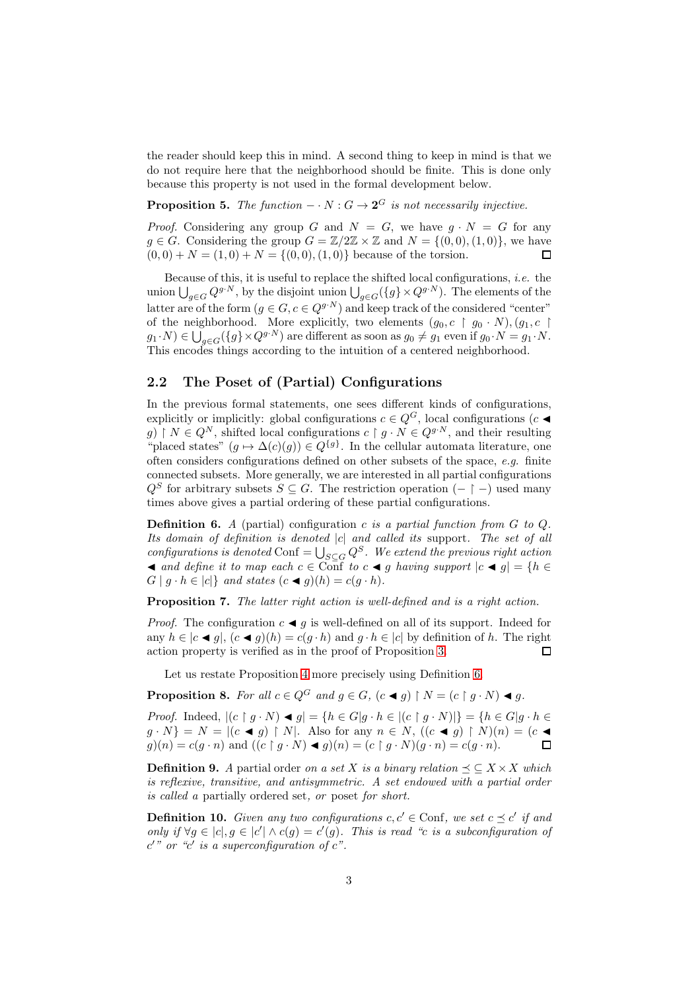the reader should keep this in mind. A second thing to keep in mind is that we do not require here that the neighborhood should be finite. This is done only because this property is not used in the formal development below.

<span id="page-2-2"></span>**Proposition 5.** The function  $-\cdot N : G \to \mathbf{2}^G$  is not necessarily injective.

*Proof.* Considering any group G and  $N = G$ , we have  $g \cdot N = G$  for any  $g \in G$ . Considering the group  $G = \mathbb{Z}/2\mathbb{Z} \times \mathbb{Z}$  and  $N = \{(0, 0), (1, 0)\}\)$ , we have  $(0, 0) + N = (1, 0) + N = \{(0, 0), (1, 0)\}\$ because of the torsion.  $\Box$ 

Because of this, it is useful to replace the shifted local configurations, *i.e.* the union  $\bigcup_{g\in G} Q^{g\cdot N}$ , by the disjoint union  $\bigcup_{g\in G} (\{g\}\times Q^{g\cdot N})$ . The elements of the latter are of the form  $(g \in G, c \in Q^{g \cdot N})$  and keep track of the considered "center" of the neighborhood. More explicitly, two elements  $(g_0, c \restriction g_0 \cdot N), (g_1, c \restriction \mathbb{R})$  $g_1 \cdot N) \in \bigcup_{g \in G} (\{g\} \times Q^{g \cdot N})$  are different as soon as  $g_0 \neq g_1$  even if  $g_0 \cdot N = g_1 \cdot N$ . This encodes things according to the intuition of a centered neighborhood.

### 2.2 The Poset of (Partial) Configurations

In the previous formal statements, one sees different kinds of configurations, explicitly or implicitly: global configurations  $c \in Q^G$ , local configurations  $(c \blacktriangleleft$ g)  $N \in Q^N$ , shifted local configurations  $c \restriction g \cdot N \in Q^{g \cdot N}$ , and their resulting "placed states"  $(g \mapsto \Delta(c)(g)) \in Q^{\{g\}}$ . In the cellular automata literature, one often considers configurations defined on other subsets of the space, *e.g.* finite connected subsets. More generally, we are interested in all partial configurations  $Q^S$  for arbitrary subsets  $S \subseteq G$ . The restriction operation  $(- \upharpoonright -)$  used many times above gives a partial ordering of these partial configurations.

<span id="page-2-0"></span>Definition 6. *A* (partial) configuration c *is a partial function from* G *to* Q*. Its domain of definition is denoted* |c| *and called its* support*. The set of all*  $configurations$  is denoted Conf =  $\bigcup_{S \subseteq G} Q^S$ . We extend the previous right action  $\blacktriangleleft$  *and define it to map each*  $c \in \text{Conf}$  *to*  $c \blacktriangleleft g$  *having support*  $|c \blacktriangleleft g| = \{h \in \text{Def}\}\$  $G | g \cdot h \in |c|$  *and states*  $(c \triangleleft g)(h) = c(g \cdot h)$ *.* 

Proposition 7. The latter right action is well-defined and is a right action.

*Proof.* The configuration  $c \triangleleft g$  is well-defined on all of its support. Indeed for any  $h \in |c \blacktriangleleft g|$ ,  $(c \blacktriangleleft g)(h) = c(g \cdot h)$  and  $g \cdot h \in |c|$  by definition of h. The right action property is verified as in the proof of Proposition [3.](#page-1-1)  $\Box$ 

Let us restate Proposition [4](#page-1-2) more precisely using Definition [6.](#page-2-0)

<span id="page-2-3"></span>**Proposition 8.** *For all*  $c \in Q^G$  *and*  $g \in G$ *,*  $(c \triangleleft g) \upharpoonright N = (c \upharpoonright g \cdot N) \triangleleft g$ *.* 

*Proof.* Indeed,  $|(c \upharpoonright g \cdot N) \blacktriangleleft g| = \{h \in G | g \cdot h \in |(c \upharpoonright g \cdot N)|\} = \{h \in G | g \cdot h \in G | g \cdot h \in G | g \cdot h \in G | g \cdot h \in G | g \cdot h \in G | g \cdot h \in G | g \cdot h \in G | g \cdot h \in G | g \cdot h \in G | g \cdot h \in G | g \cdot h \in G | g \cdot h \in G | g \cdot h \in G | g \cdot h \in G | g \cdot h \in G | g \cdot h \in G | g \cdot h \in G | g \cdot h \in G | g \cdot h$  $g \cdot N$ } = N =  $|(c \triangleleft g) \upharpoonright N|$ . Also for any  $n \in N$ ,  $((c \triangleleft g) \upharpoonright N)(n) = (c \triangleleft g)$  $g)(n) = c(g \cdot n)$  and  $((c \upharpoonright g \cdot N) \blacktriangleleft g)(n) = (c \upharpoonright g \cdot N)(g \cdot n) = c(g \cdot n)$ .  $\Box$ 

**Definition 9.** *A* partial order *on a set* X *is a binary relation*  $\preceq \subseteq X \times X$  *which is reflexive, transitive, and antisymmetric. A set endowed with a partial order is called a* partially ordered set*, or* poset *for short.*

<span id="page-2-1"></span>**Definition 10.** *Given any two configurations*  $c, c' \in \text{Conf}$ *, we set*  $c \preceq c'$  *if and only if*  $\forall g \in [c], g \in [c'] \land c(g) = c'(g)$ . This is read "c is a subconfiguration of  $c'$ " or " $c'$  is a superconfiguration of  $c$ ".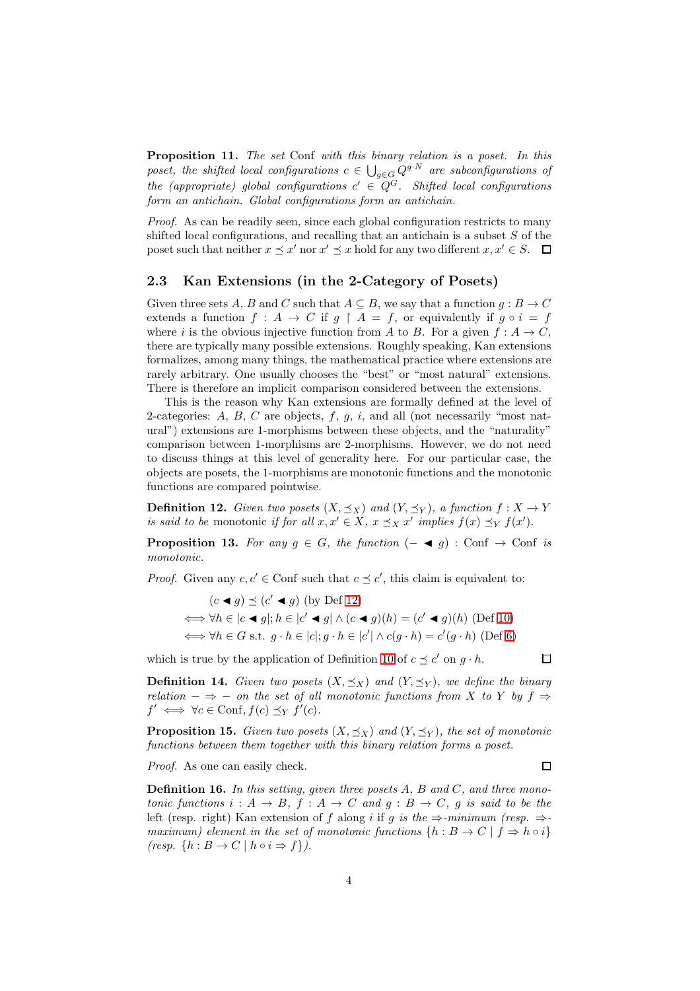Proposition 11. *The set* Conf *with this binary relation is a poset. In this* poset, the shifted local configurations  $c \in \bigcup_{g \in G} Q^{g \cdot N}$  are subconfigurations of  $the \ (appropriate) \ global \ configurations \ c' \ \in \ Q^G$ . Shifted local configurations *form an antichain. Global configurations form an antichain.*

*Proof.* As can be readily seen, since each global configuration restricts to many shifted local configurations, and recalling that an antichain is a subset  $S$  of the poset such that neither  $x \preceq x'$  nor  $x' \preceq x$  hold for any two different  $x, x' \in S$ .

### 2.3 Kan Extensions (in the 2-Category of Posets)

Given three sets A, B and C such that  $A \subseteq B$ , we say that a function  $g : B \to C$ extends a function  $f : A \to C$  if  $g \upharpoonright A = f$ , or equivalently if  $g \circ i = f$ where i is the obvious injective function from A to B. For a given  $f : A \to C$ , there are typically many possible extensions. Roughly speaking, Kan extensions formalizes, among many things, the mathematical practice where extensions are rarely arbitrary. One usually chooses the "best" or "most natural" extensions. There is therefore an implicit comparison considered between the extensions.

This is the reason why Kan extensions are formally defined at the level of 2-categories:  $A, B, C$  are objects,  $f, g, i$ , and all (not necessarily "most natural") extensions are 1-morphisms between these objects, and the "naturality" comparison between 1-morphisms are 2-morphisms. However, we do not need to discuss things at this level of generality here. For our particular case, the objects are posets, the 1-morphisms are monotonic functions and the monotonic functions are compared pointwise.

<span id="page-3-0"></span>**Definition 12.** *Given two posets*  $(X, \preceq_X)$  *and*  $(Y, \preceq_Y)$ *, a function*  $f : X \to Y$ *is said to be* monotonic *if for all*  $x, x' \in X$ ,  $x \preceq_X x'$  *implies*  $f(x) \preceq_Y f(x')$ *.* 

**Proposition 13.** For any  $g \in G$ , the function  $(- \blacktriangleleft g)$ : Conf  $\rightarrow$  Conf *is monotonic.*

*Proof.* Given any  $c, c' \in \text{Conf}$  such that  $c \preceq c'$ , this claim is equivalent to:

$$
(c \blacktriangleleft g) \preceq (c' \blacktriangleleft g) \text{ (by Def 12)}
$$
  
\n
$$
\iff \forall h \in |c \blacktriangleleft g|; h \in |c' \blacktriangleleft g| \land (c \blacktriangleleft g)(h) = (c' \blacktriangleleft g)(h) \text{ (Def 10)}
$$
  
\n
$$
\iff \forall h \in G \text{ s.t. } g \cdot h \in |c|; g \cdot h \in |c'| \land c(g \cdot h) = c'(g \cdot h) \text{ (Def 6)}
$$

which is true by the application of Definition [10](#page-2-1) of  $c \preceq c'$  on  $g \cdot h$ .

<span id="page-3-2"></span>**Definition 14.** *Given two posets*  $(X, \preceq_X)$  *and*  $(Y, \preceq_Y)$ *, we define the binary relation*  $-\Rightarrow$  − *on the set of all monotonic functions from* X *to* Y *by* f  $\Rightarrow$  $f' \iff \forall c \in \text{Conf}, f(c) \preceq_Y f'(c).$ 

**Proposition 15.** *Given two posets*  $(X, \preceq_X)$  *and*  $(Y, \preceq_Y)$ *, the set of monotonic functions between them together with this binary relation forms a poset.*

*Proof.* As one can easily check.

<span id="page-3-1"></span>Definition 16. *In this setting, given three posets* A*,* B *and* C*, and three monotonic functions*  $i : A \rightarrow B$ ,  $f : A \rightarrow C$  *and*  $g : B \rightarrow C$ ,  $g$  *is said to be the* left (resp. right) Kan extension of f along i if g is the  $\Rightarrow$ -minimum (resp.  $\Rightarrow$ *maximum) element in the set of monotonic functions*  $\{h : B \to C \mid f \Rightarrow h \circ i\}$  $(resp. \{h : B \to C \mid h \circ i \Rightarrow f\}).$ 

 $\Box$ 

 $\Box$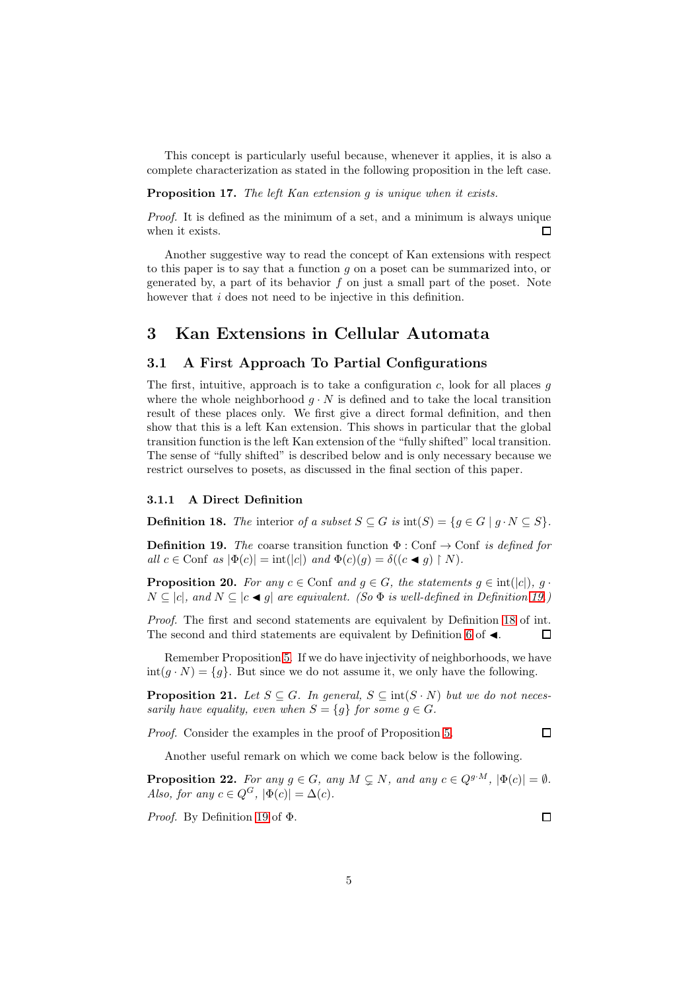This concept is particularly useful because, whenever it applies, it is also a complete characterization as stated in the following proposition in the left case.

#### Proposition 17. *The left Kan extension* g *is unique when it exists.*

*Proof.* It is defined as the minimum of a set, and a minimum is always unique when it exists.  $\Box$ 

Another suggestive way to read the concept of Kan extensions with respect to this paper is to say that a function g on a poset can be summarized into, or generated by, a part of its behavior  $f$  on just a small part of the poset. Note however that *i* does not need to be injective in this definition.

# 3 Kan Extensions in Cellular Automata

### 3.1 A First Approach To Partial Configurations

The first, intuitive, approach is to take a configuration  $c$ , look for all places  $q$ where the whole neighborhood  $q \cdot N$  is defined and to take the local transition result of these places only. We first give a direct formal definition, and then show that this is a left Kan extension. This shows in particular that the global transition function is the left Kan extension of the "fully shifted" local transition. The sense of "fully shifted" is described below and is only necessary because we restrict ourselves to posets, as discussed in the final section of this paper.

### 3.1.1 A Direct Definition

<span id="page-4-1"></span>**Definition 18.** *The* interior *of a subset*  $S \subseteq G$  *is*  $\text{int}(S) = \{g \in G \mid g \cdot N \subseteq S\}.$ 

<span id="page-4-0"></span>**Definition 19.** *The* coarse transition function  $\Phi$  : Conf  $\rightarrow$  Conf *is defined for*  $all \ c \in \text{Conf} \ \text{as} \ |\Phi(c)| = \text{int}(|c|) \ \text{and} \ \Phi(c)(g) = \delta((c \blacktriangleleft g) \restriction N).$ 

**Proposition 20.** *For any*  $c \in \text{Conf}$  *and*  $g \in G$ *, the statements*  $g \in \text{int}(|c|)$ *,*  $g \cdot$  $N ⊆ |c|$ *, and*  $N ⊆ |c \blacktriangleleft g|$  *are equivalent. (So*  $\Phi$  *is well-defined in Definition [19.](#page-4-0))* 

*Proof.* The first and second statements are equivalent by Definition [18](#page-4-1) of int. The second and third statements are equivalent by Definition [6](#page-2-0) of  $\blacktriangleleft.$  $\Box$ 

Remember Proposition [5.](#page-2-2) If we do have injectivity of neighborhoods, we have  $\text{int}(g \cdot N) = \{g\}.$  But since we do not assume it, we only have the following.

**Proposition 21.** *Let*  $S \subseteq G$ *. In general,*  $S \subseteq \text{int}(S \cdot N)$  *but we do not necessarily have equality, even when*  $S = \{g\}$  *for some*  $g \in G$ *.* 

*Proof.* Consider the examples in the proof of Proposition [5.](#page-2-2)

Another useful remark on which we come back below is the following.

**Proposition 22.** *For any*  $g \in G$ *, any*  $M \subsetneq N$ *, and any*  $c \in Q^{g \cdot M}$ *,*  $|\Phi(c)| = \emptyset$ *. Also, for any*  $c \in Q^G$ ,  $|\Phi(c)| = \Delta(c)$ *.* 

*Proof.* By Definition [19](#page-4-0) of Φ.

 $\Box$ 

 $\Box$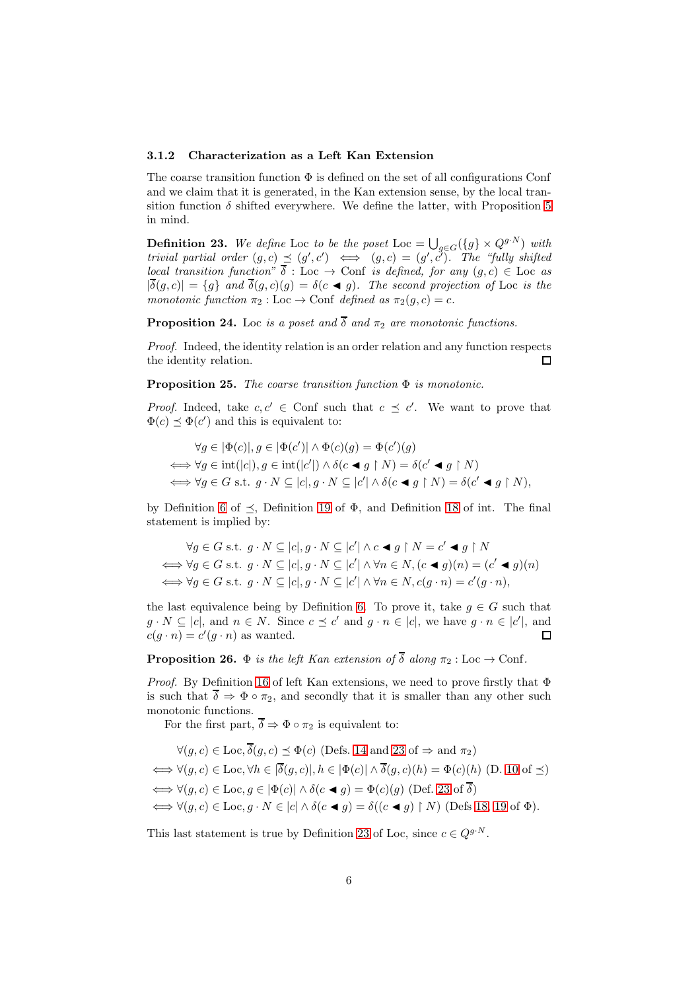### 3.1.2 Characterization as a Left Kan Extension

The coarse transition function  $\Phi$  is defined on the set of all configurations Conf and we claim that it is generated, in the Kan extension sense, by the local transition function  $\delta$  shifted everywhere. We define the latter, with Proposition [5](#page-2-2) in mind.

<span id="page-5-0"></span>**Definition 23.** We define Loc to be the poset Loc =  $\bigcup_{g \in G} (\{g\} \times Q^{g \cdot N})$  with *trivial partial order*  $(g, c) \preceq (g', c') \iff (g, c) = (g', c')$ . The "fully shifted *local transition function*"  $\delta$ : Loc  $\rightarrow$  Conf *is defined, for any*  $(g, c) \in$  Loc *as*  $|\overline{\delta}(g, c)| = \{g\}$  and  $\overline{\delta}(g, c)(g) = \delta(c \blacktriangleleft g)$ *. The second projection of* Loc *is the monotonic function*  $\pi_2 : \text{Loc} \to \text{Conf}$  *defined as*  $\pi_2(g, c) = c$ .

**Proposition 24.** Loc *is a poset and*  $\overline{\delta}$  *and*  $\pi_2$  *are monotonic functions.* 

*Proof.* Indeed, the identity relation is an order relation and any function respects the identity relation.  $\Box$ 

Proposition 25. *The coarse transition function* Φ *is monotonic.*

*Proof.* Indeed, take  $c, c' \in$  Conf such that  $c \preceq c'$ . We want to prove that  $\Phi(c) \preceq \Phi(c')$  and this is equivalent to:

$$
\forall g \in |\Phi(c)|, g \in |\Phi(c')| \land \Phi(c)(g) = \Phi(c')(g)
$$
  

$$
\iff \forall g \in \text{int}(|c|), g \in \text{int}(|c'|) \land \delta(c \blacktriangleleft g \restriction N) = \delta(c' \blacktriangleleft g \restriction N)
$$
  

$$
\iff \forall g \in G \text{ s.t. } g \cdot N \subseteq |c|, g \cdot N \subseteq |c'| \land \delta(c \blacktriangleleft g \restriction N) = \delta(c' \blacktriangleleft g \restriction N),
$$

by Definition [6](#page-2-0) of  $\preceq$ , Definition [19](#page-4-0) of  $\Phi$ , and Definition [18](#page-4-1) of int. The final statement is implied by:

$$
\forall g \in G \text{ s.t. } g \cdot N \subseteq |c|, g \cdot N \subseteq |c'| \land c \blacktriangleleft g \upharpoonright N = c' \blacktriangleleft g \upharpoonright N
$$
  

$$
\iff \forall g \in G \text{ s.t. } g \cdot N \subseteq |c|, g \cdot N \subseteq |c'| \land \forall n \in N, (c \blacktriangleleft g)(n) = (c' \blacktriangleleft g)(n)
$$
  

$$
\iff \forall g \in G \text{ s.t. } g \cdot N \subseteq |c|, g \cdot N \subseteq |c'| \land \forall n \in N, c(g \cdot n) = c'(g \cdot n),
$$

the last equivalence being by Definition [6.](#page-2-0) To prove it, take  $q \in G$  such that  $g \cdot N \subseteq |c|$ , and  $n \in N$ . Since  $c \preceq c'$  and  $g \cdot n \in |c|$ , we have  $g \cdot n \in |c'|$ , and  $c(g \cdot n) = c'(g \cdot n)$  as wanted.  $\Box$ 

# **Proposition 26.**  $\Phi$  *is the left Kan extension of*  $\overline{\delta}$  *along*  $\pi_2$  : Loc  $\to$  Conf.

*Proof.* By Definition [16](#page-3-1) of left Kan extensions, we need to prove firstly that  $\Phi$ is such that  $\overline{\delta} \Rightarrow \Phi \circ \pi_2$ , and secondly that it is smaller than any other such monotonic functions.

For the first part,  $\overline{\delta} \Rightarrow \Phi \circ \pi_2$  is equivalent to:

$$
\forall (g, c) \in \text{Loc}, \overline{\delta}(g, c) \leq \Phi(c) \text{ (Defs. 14 and 23 of } \Rightarrow \text{ and } \pi_2)
$$
  
\n
$$
\iff \forall (g, c) \in \text{Loc}, \forall h \in |\overline{\delta}(g, c)|, h \in |\Phi(c)| \land \overline{\delta}(g, c)(h) = \Phi(c)(h) \text{ (D. 10 of } \preceq)
$$
  
\n
$$
\iff \forall (g, c) \in \text{Loc}, g \in |\Phi(c)| \land \delta(c \blacktriangleleft g) = \Phi(c)(g) \text{ (Def. 23 of } \overline{\delta})
$$
  
\n
$$
\iff \forall (g, c) \in \text{Loc}, g \cdot N \in |c| \land \delta(c \blacktriangleleft g) = \delta((c \blacktriangleleft g) \upharpoonright N) \text{ (Defs 18, 19 of } \Phi).
$$

This last statement is true by Definition [23](#page-5-0) of Loc, since  $c \in Q^{g \cdot N}$ .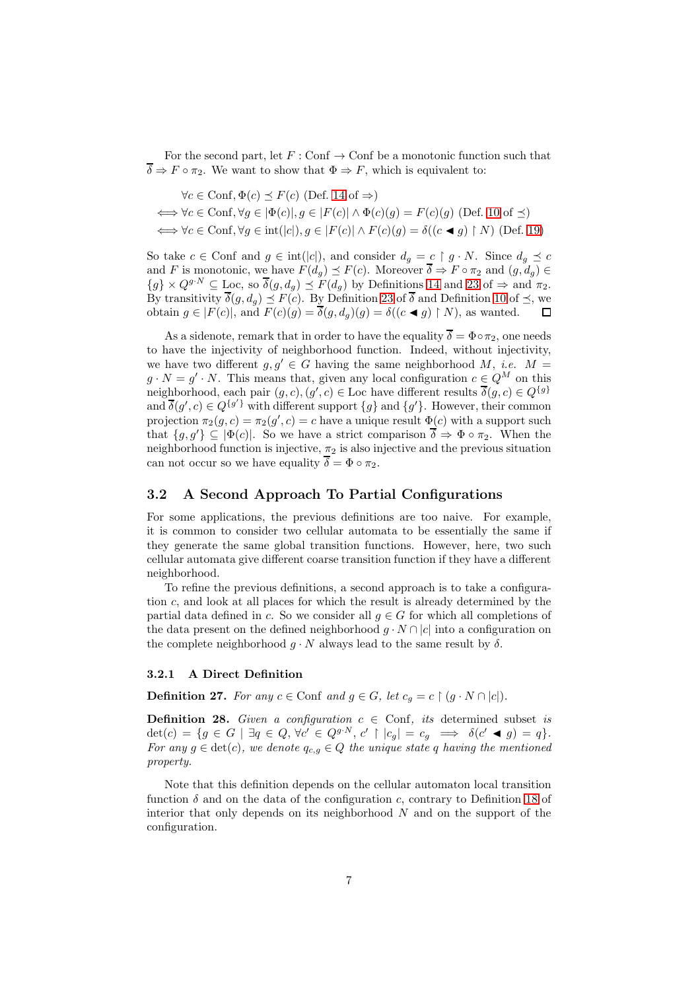For the second part, let  $F: \text{Conf} \to \text{Conf}$  be a monotonic function such that  $\overline{\delta} \Rightarrow F \circ \pi_2$ . We want to show that  $\Phi \Rightarrow F$ , which is equivalent to:

$$
\forall c \in \text{Conf}, \Phi(c) \le F(c) \text{ (Def. 14 of } \Rightarrow)
$$
  

$$
\iff \forall c \in \text{Conf}, \forall g \in [\Phi(c)], g \in |F(c)| \land \Phi(c)(g) = F(c)(g) \text{ (Def. 10 of } \preceq)
$$
  

$$
\iff \forall c \in \text{Conf}, \forall g \in \text{int}(|c|), g \in |F(c)| \land F(c)(g) = \delta((c \blacktriangleleft g) \upharpoonright N) \text{ (Def. 19)}
$$

So take  $c \in \text{Conf}$  and  $g \in \text{int}(|c|)$ , and consider  $d_g = c \restriction g \cdot N$ . Since  $d_g \preceq c$ and F is monotonic, we have  $F(d_g) \preceq F(c)$ . Moreover  $\delta \Rightarrow F \circ \pi_2$  and  $(g, d_g) \in$  ${g} \times Q^{g\cdot N} \subseteq \text{Loc}$ , so  $\overline{\delta}(g, d_g) \preceq F(d_g)$  by Definitions [14](#page-3-2) and [23](#page-5-0) of  $\Rightarrow$  and  $\pi_2$ . By transitivity  $\delta(g, d_g) \preceq F(c)$ . By Definition [23](#page-5-0) of  $\delta$  and Definition [10](#page-2-1) of  $\preceq$ , we obtain  $g \in |F(c)|$ , and  $F(c)(g) = \delta(g, d_g)(g) = \delta((c \blacktriangleleft g) \restriction N)$ , as wanted.

As a sidenote, remark that in order to have the equality  $\overline{\delta} = \Phi \circ \pi_2$ , one needs to have the injectivity of neighborhood function. Indeed, without injectivity, we have two different  $g, g' \in G$  having the same neighborhood M, *i.e.* M =  $g \cdot N = g' \cdot N$ . This means that, given any local configuration  $c \in Q^M$  on this neighborhood, each pair  $(g, c), (g', c) \in \text{Loc}$  have different results  $\overline{\delta}(g, c) \in Q^{\{g\}}$ and  $\overline{\delta}(g',c) \in Q^{\{g'\}}$  with different support  $\{g\}$  and  $\{g'\}$ . However, their common projection  $\pi_2(g, c) = \pi_2(g', c) = c$  have a unique result  $\Phi(c)$  with a support such that  $\{g, g'\} \subseteq |\Phi(c)|$ . So we have a strict comparison  $\overline{\delta} \Rightarrow \Phi \circ \pi_2$ . When the neighborhood function is injective,  $\pi_2$  is also injective and the previous situation can not occur so we have equality  $\overline{\delta} = \Phi \circ \pi_2$ .

### 3.2 A Second Approach To Partial Configurations

For some applications, the previous definitions are too naive. For example, it is common to consider two cellular automata to be essentially the same if they generate the same global transition functions. However, here, two such cellular automata give different coarse transition function if they have a different neighborhood.

To refine the previous definitions, a second approach is to take a configuration c, and look at all places for which the result is already determined by the partial data defined in c. So we consider all  $g \in G$  for which all completions of the data present on the defined neighborhood  $g \cdot N \cap |c|$  into a configuration on the complete neighborhood  $q \cdot N$  always lead to the same result by  $\delta$ .

#### 3.2.1 A Direct Definition

<span id="page-6-0"></span>**Definition 27.** *For any*  $c \in \text{Conf}$  *and*  $g \in G$ *, let*  $c_q = c \restriction (g \cdot N \cap |c|)$ *.* 

<span id="page-6-1"></span>**Definition 28.** *Given a configuration*  $c \in$  Conf, *its* determined subset *is*  $\det(c) = \{g \in G \mid \exists q \in Q, \forall c' \in Q^{g \cdot N}, c' \restriction |c_g| = c_g \implies \delta(c' \blacktriangleleft g) = q\}.$ *For any*  $g \in \text{det}(c)$ *, we denote*  $q_{c,g} \in Q$  *the unique state* q *having the mentioned property.*

Note that this definition depends on the cellular automaton local transition function  $\delta$  and on the data of the configuration c, contrary to Definition [18](#page-4-1) of interior that only depends on its neighborhood  $N$  and on the support of the configuration.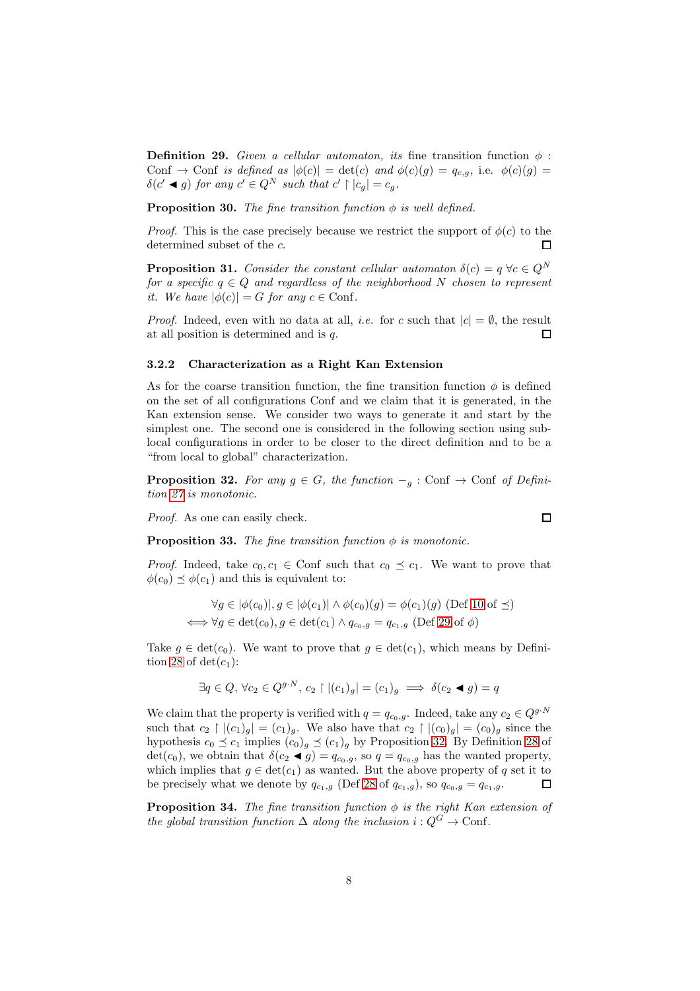<span id="page-7-0"></span>**Definition 29.** *Given a cellular automaton, its* fine transition function  $\phi$ : Conf  $\rightarrow$  Conf *is defined as*  $|\phi(c)| = \det(c)$  *and*  $\phi(c)(g) = q_{c,q}$ , i.e.  $\phi(c)(g) =$  $\delta(c' \blacktriangleleft g)$  for any  $c' \in Q^N$  such that  $c' \restriction |c_g| = c_g$ .

**Proposition 30.** *The fine transition function*  $\phi$  *is well defined.* 

*Proof.* This is the case precisely because we restrict the support of  $\phi(c)$  to the determined subset of the c.  $\Box$ 

**Proposition 31.** *Consider the constant cellular automaton*  $\delta(c) = q \ \forall c \in Q^N$ *for a specific*  $q \in Q$  *and regardless of the neighborhood* N *chosen to represent it.* We have  $|\phi(c)| = G$  for any  $c \in \text{Conf}$ .

*Proof.* Indeed, even with no data at all, *i.e.* for c such that  $|c| = \emptyset$ , the result at all position is determined and is q.  $\Box$ 

#### 3.2.2 Characterization as a Right Kan Extension

As for the coarse transition function, the fine transition function  $\phi$  is defined on the set of all configurations Conf and we claim that it is generated, in the Kan extension sense. We consider two ways to generate it and start by the simplest one. The second one is considered in the following section using sublocal configurations in order to be closer to the direct definition and to be a "from local to global" characterization.

<span id="page-7-1"></span>**Proposition 32.** For any  $g \in G$ , the function  $-\frac{1}{g}$ : Conf  $\rightarrow$  Conf of Defini*tion [27](#page-6-0) is monotonic.*

*Proof.* As one can easily check.

<span id="page-7-2"></span>**Proposition 33.** *The fine transition function*  $\phi$  *is monotonic.* 

*Proof.* Indeed, take  $c_0, c_1 \in$  Conf such that  $c_0 \preceq c_1$ . We want to prove that  $\phi(c_0) \preceq \phi(c_1)$  and this is equivalent to:

$$
\forall g \in |\phi(c_0)|, g \in |\phi(c_1)| \land \phi(c_0)(g) = \phi(c_1)(g) \text{ (Def 10 of } \preceq)
$$
  

$$
\iff \forall g \in \det(c_0), g \in \det(c_1) \land q_{c_0,g} = q_{c_1,g} \text{ (Def 29 of } \phi)
$$

Take  $g \in \det(c_0)$ . We want to prove that  $g \in \det(c_1)$ , which means by Defini-tion [28](#page-6-1) of  $det(c_1)$ :

$$
\exists q \in Q, \,\forall c_2 \in Q^{g \cdot N}, \, c_2 \upharpoonright | (c_1)_g | = (c_1)_g \implies \delta(c_2 \blacktriangleleft g) = q
$$

We claim that the property is verified with  $q = q_{c_0,g}$ . Indeed, take any  $c_2 \in Q^{g \cdot N}$ such that  $c_2 \restriction |(c_1)_q| = (c_1)_q$ . We also have that  $c_2 \restriction |(c_0)_q| = (c_0)_q$  since the hypothesis  $c_0 \preceq c_1$  implies  $(c_0)_g \preceq (c_1)_g$  by Proposition [32.](#page-7-1) By Definition [28](#page-6-1) of det(c<sub>0</sub>), we obtain that  $\delta(c_2 \blacktriangleleft g) = q_{c_0,g}$ , so  $q = q_{c_0,g}$  has the wanted property, which implies that  $g \in \det(c_1)$  as wanted. But the above property of q set it to be precisely what we denote by  $q_{c_1,g}$  (Def [28](#page-6-1) of  $q_{c_1,g}$ ), so  $q_{c_0,g} = q_{c_1,g}$ . П

**Proposition 34.** *The fine transition function*  $\phi$  *is the right Kan extension of the global transition function*  $\Delta$  *along the inclusion*  $i: Q^G \to \text{Conf}$ .

 $\Box$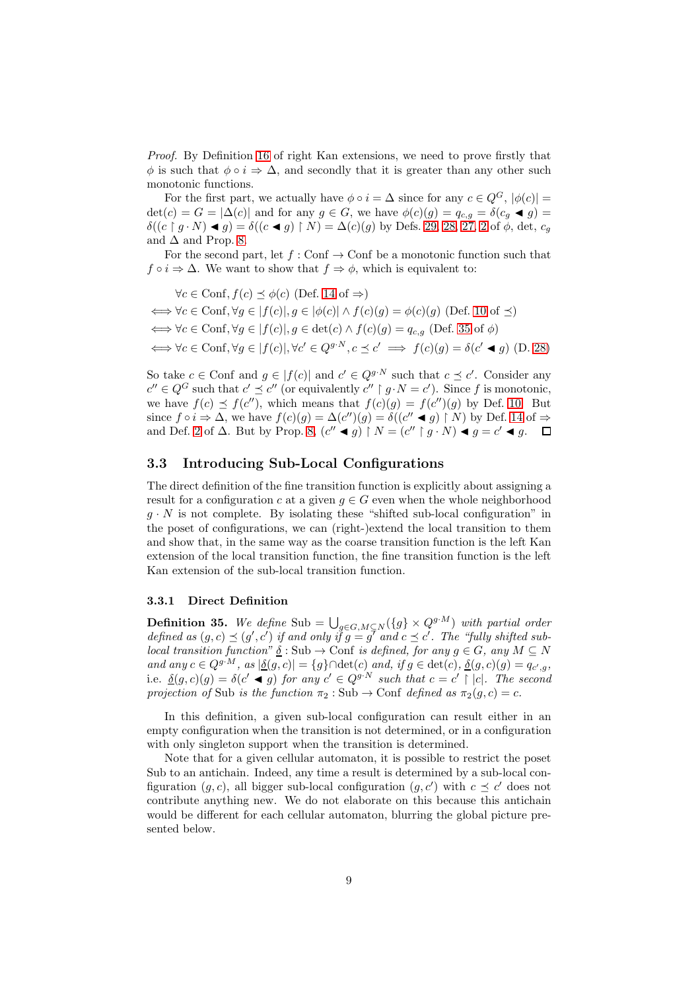*Proof.* By Definition [16](#page-3-1) of right Kan extensions, we need to prove firstly that  $\phi$  is such that  $\phi \circ i \Rightarrow \Delta$ , and secondly that it is greater than any other such monotonic functions.

For the first part, we actually have  $\phi \circ i = \Delta$  since for any  $c \in Q^G$ ,  $|\phi(c)| =$  $\det(c) = G = |\Delta(c)|$  and for any  $g \in G$ , we have  $\phi(c)(g) = q_{c,q} = \delta(c_q \blacktriangleleft g)$  $\delta((c \upharpoonright g \cdot N) \blacktriangleleft g) = \delta((c \blacktriangleleft g) \upharpoonright N) = \Delta(c)(g)$  by Defs. [29,](#page-7-0) [28,](#page-6-1) [27,](#page-6-0) [2](#page-1-3) of  $\phi$ , det,  $c_g$ and  $\Delta$  and Prop. [8.](#page-2-3)

For the second part, let  $f : \text{Conf} \to \text{Conf}$  be a monotonic function such that  $f \circ i \Rightarrow \Delta$ . We want to show that  $f \Rightarrow \phi$ , which is equivalent to:

 $\forall c \in \text{Conf}, f(c) \prec \phi(c)$  (Def. [14](#page-3-2) of  $\Rightarrow$ )  $\iff \forall c \in \text{Conf}, \forall g \in |f(c)|, g \in |\phi(c)| \land f(c)(g) = \phi(c)(g)$  (Def. [10](#page-2-1) of  $\preceq$ )  $\iff \forall c \in \text{Conf}, \forall g \in |f(c)|, g \in \det(c) \land f(c)(g) = q_{c,g} \text{ (Def. 35 of } \phi)$  $\iff \forall c \in \text{Conf}, \forall g \in |f(c)|, g \in \det(c) \land f(c)(g) = q_{c,g} \text{ (Def. 35 of } \phi)$  $\iff \forall c \in \text{Conf}, \forall g \in |f(c)|, g \in \det(c) \land f(c)(g) = q_{c,g} \text{ (Def. 35 of } \phi)$  $\Leftrightarrow \forall c \in \text{Conf}, \forall g \in |f(c)|, \forall c' \in Q^{g \cdot N}, c \preceq c' \implies f(c)(g) = \delta(c' \blacktriangleleft g)$  (D. [28\)](#page-6-1)

So take  $c \in \text{Conf}$  and  $g \in |f(c)|$  and  $c' \in Q^{g \cdot N}$  such that  $c \preceq c'$ . Consider any  $c'' \in Q^G$  such that  $c' \preceq c''$  (or equivalently  $c'' \restriction g \cdot N = c'$ ). Since f is monotonic, we have  $f(c) \preceq f(c'')$ , which means that  $f(c)(g) = f(c'')(g)$  by Def. [10.](#page-2-1) But since  $f \circ i \Rightarrow \Delta$ , we have  $f(c)(g) = \Delta(c'')(g) = \delta((c'' \blacktriangleleft g) \upharpoonright N)$  by Def. [14](#page-3-2) of  $\Rightarrow$ and Def. [2](#page-1-3) of  $\Delta$ . But by Prop. [8,](#page-2-3)  $(c'' \blacktriangleleft g) \upharpoonright N = (c'' \upharpoonright g \cdot N) \blacktriangleleft g = c' \blacktriangleleft g$ .

### 3.3 Introducing Sub-Local Configurations

The direct definition of the fine transition function is explicitly about assigning a result for a configuration c at a given  $g \in G$  even when the whole neighborhood  $g \cdot N$  is not complete. By isolating these "shifted sub-local configuration" in the poset of configurations, we can (right-)extend the local transition to them and show that, in the same way as the coarse transition function is the left Kan extension of the local transition function, the fine transition function is the left Kan extension of the sub-local transition function.

### 3.3.1 Direct Definition

<span id="page-8-0"></span>**Definition 35.** We define Sub =  $\bigcup_{g \in G, M \subseteq N} (\{g\} \times Q^{g \cdot M})$  with partial order *defined as*  $(g, c) \preceq (g', c')$  *if and only if*  $g = g^T$  *and*  $c \preceq c'$ . The "fully shifted sub*local transition function"*  $\underline{\delta}$  : Sub  $\rightarrow$  Conf *is defined, for any*  $g \in G$ *, any*  $M \subseteq N$ *and any*  $c \in Q^{g \cdot M}$ , as  $|\underline{\delta}(g, c)| = \{g\} \cap \det(c)$  *and,* if  $g \in \det(c)$ ,  $\underline{\delta}(g, c)(g) = q_{c', g}$ , i.e.  $\underline{\delta}(g, c)(g) = \delta(c' \blacktriangleleft g)$  *for any*  $c' \in Q^{g \cdot N}$  *such that*  $c = c' \restriction |c|$ *. The second projection of* Sub *is the function*  $\pi_2$ : Sub  $\rightarrow$  Conf *defined as*  $\pi_2(q, c) = c$ *.* 

In this definition, a given sub-local configuration can result either in an empty configuration when the transition is not determined, or in a configuration with only singleton support when the transition is determined.

Note that for a given cellular automaton, it is possible to restrict the poset Sub to an antichain. Indeed, any time a result is determined by a sub-local configuration  $(g, c)$ , all bigger sub-local configuration  $(g, c')$  with  $c \preceq c'$  does not contribute anything new. We do not elaborate on this because this antichain would be different for each cellular automaton, blurring the global picture presented below.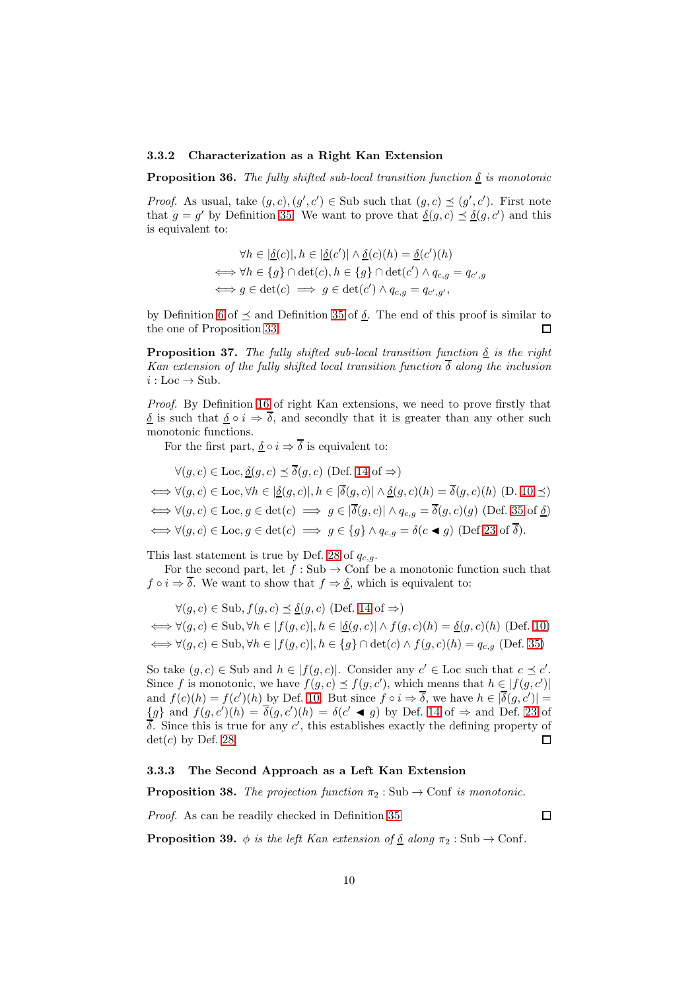### 3.3.2 Characterization as a Right Kan Extension

**Proposition 36.** The fully shifted sub-local transition function  $\delta$  is monotonic

*Proof.* As usual, take  $(g, c), (g', c') \in Sub$  such that  $(g, c) \preceq (g', c')$ . First note that  $g = g'$  by Definition [35.](#page-8-0) We want to prove that  $\underline{\delta}(g, c) \preceq \underline{\delta}(g, c')$  and this is equivalent to:

$$
\forall h \in |\underline{\delta}(c)|, h \in |\underline{\delta}(c')| \land \underline{\delta}(c)(h) = \underline{\delta}(c')(h)
$$
  

$$
\iff \forall h \in \{g\} \cap \det(c), h \in \{g\} \cap \det(c') \land q_{c,g} = q_{c',g}
$$
  

$$
\iff g \in \det(c) \implies g \in \det(c') \land q_{c,g} = q_{c',g'},
$$

by Definition [6](#page-2-0) of  $\preceq$  and Definition [35](#page-8-0) of  $\delta$ . The end of this proof is similar to the one of Proposition [33.](#page-7-2)  $\Box$ 

**Proposition 37.** *The fully shifted sub-local transition function*  $\delta$  *is the right Kan extension of the fully shifted local transition function*  $\overline{\delta}$  *along the inclusion*  $i:$  Loc  $\rightarrow$  Sub.

*Proof.* By Definition [16](#page-3-1) of right Kan extensions, we need to prove firstly that  $\delta$  is such that  $\delta \circ i \Rightarrow \overline{\delta}$ , and secondly that it is greater than any other such monotonic functions.

For the first part,  $\delta \circ i \Rightarrow \overline{\delta}$  is equivalent to:

$$
\forall (g, c) \in \text{Loc}, \underline{\delta}(g, c) \preceq \overline{\delta}(g, c) \text{ (Def. 14 of } \Rightarrow)
$$
  

$$
\iff \forall (g, c) \in \text{Loc}, \forall h \in |\underline{\delta}(g, c)|, h \in |\overline{\delta}(g, c)| \land \underline{\delta}(g, c)(h) = \overline{\delta}(g, c)(h) \text{ (D. 10 } \preceq)
$$
  

$$
\iff \forall (g, c) \in \text{Loc}, g \in \text{det}(c) \implies g \in |\overline{\delta}(g, c)| \land q_{c,g} = \overline{\delta}(g, c)(g) \text{ (Def. 35 of } \underline{\delta})
$$
  

$$
\iff \forall (g, c) \in \text{Loc}, g \in \text{det}(c) \implies g \in \{g\} \land q_{c,g} = \delta(c \blacktriangleleft g) \text{ (Def 23 of } \overline{\delta}).
$$

This last statement is true by Def. [28](#page-6-1) of  $q_{c,g}$ .

For the second part, let  $f : Sub \to Conf$  be a monotonic function such that  $f \circ i \Rightarrow \overline{\delta}$ . We want to show that  $f \Rightarrow \underline{\delta}$ , which is equivalent to:

$$
\forall (g, c) \in \text{Sub}, f(g, c) \leq \underline{\delta}(g, c) \text{ (Def. 14 of } \Rightarrow)
$$
  

$$
\iff \forall (g, c) \in \text{Sub}, \forall h \in |f(g, c)|, h \in |\underline{\delta}(g, c)| \land f(g, c)(h) = \underline{\delta}(g, c)(h) \text{ (Def. 10)}
$$
  

$$
\iff \forall (g, c) \in \text{Sub}, \forall h \in |f(g, c)|, h \in \{g\} \cap \text{det}(c) \land f(g, c)(h) = q_{c,g} \text{ (Def. 35)}
$$

So take  $(g, c) \in$  Sub and  $h \in |f(g, c)|$ . Consider any  $c' \in$  Loc such that  $c \preceq c'$ . Since f is monotonic, we have  $f(g, c) \preceq f(g, c')$ , which means that  $h \in |f(g, c')|$ and  $f(c)(h) = f(c')(h)$  by Def. [10.](#page-2-1) But since  $f \circ i \Rightarrow \overline{\delta}$ , we have  $h \in |\overline{\delta}(g, c')|$  ${g}$  and  $f(g, c')(h) = \overline{\delta}(g, c')(h) = \delta(c' \blacktriangleleft g)$  by Def. [14](#page-3-2) of  $\Rightarrow$  and Def. [23](#page-5-0) of  $\overline{\delta}$ . Since this is true for any c', this establishes exactly the defining property of  $det(c)$  by Def. [28.](#page-6-1)  $\Box$ 

### 3.3.3 The Second Approach as a Left Kan Extension

**Proposition 38.** The projection function  $\pi_2$ : Sub  $\rightarrow$  Conf *is monotonic.* 

*Proof.* As can be readily checked in Definition [35](#page-8-0)

 $\Box$ 

**Proposition 39.**  $\phi$  *is the left Kan extension of* <u>δ</u> *along*  $\pi_2$  : Sub  $\rightarrow$  Conf.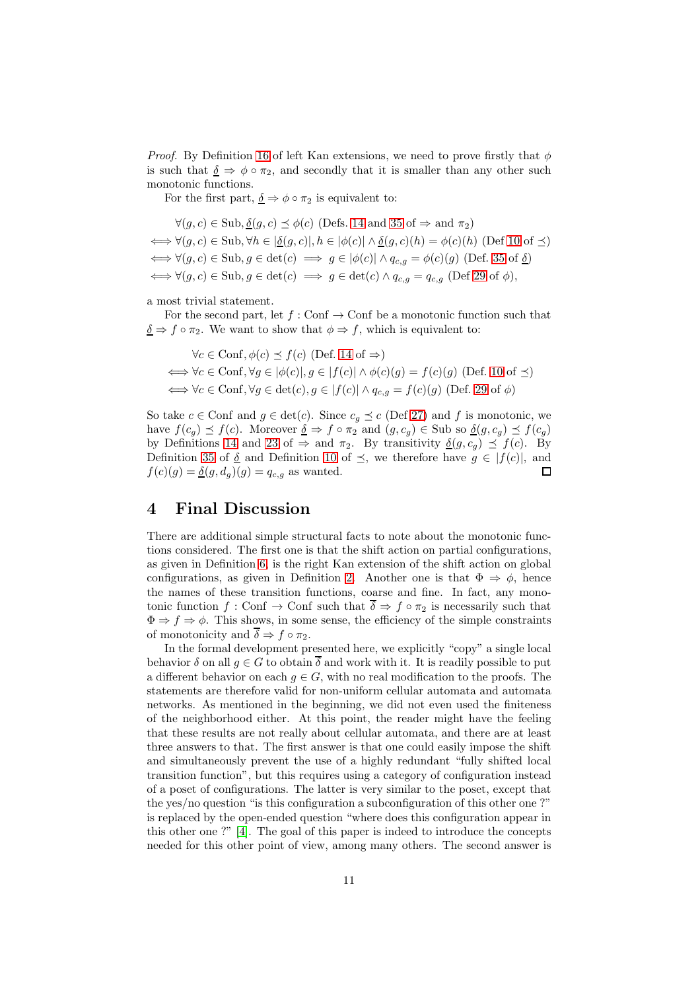*Proof.* By Definition [16](#page-3-1) of left Kan extensions, we need to prove firstly that  $\phi$ is such that  $\delta \Rightarrow \phi \circ \pi_2$ , and secondly that it is smaller than any other such monotonic functions.

For the first part,  $\delta \Rightarrow \phi \circ \pi_2$  is equivalent to:

$$
\forall (g, c) \in \text{Sub}, \underline{\delta}(g, c) \preceq \phi(c) \text{ (Defs. 14 and 35 of } \Rightarrow \text{ and } \pi_2)
$$
\n
$$
\iff \forall (g, c) \in \text{Sub}, \forall h \in |\underline{\delta}(g, c)|, h \in |\phi(c)| \land \underline{\delta}(g, c)(h) = \phi(c)(h) \text{ (Def 10 of } \preceq)
$$
\n
$$
\iff \forall (g, c) \in \text{Sub}, g \in \text{det}(c) \implies g \in |\phi(c)| \land q_{c,g} = \phi(c)(g) \text{ (Def. 35 of } \underline{\delta})
$$
\n
$$
\iff \forall (g, c) \in \text{Sub}, g \in \text{det}(c) \implies g \in \text{det}(c) \land q_{c,g} = q_{c,g} \text{ (Def 29 of } \phi),
$$

a most trivial statement.

For the second part, let  $f : \text{Conf} \to \text{Conf}$  be a monotonic function such that  $\delta \Rightarrow f \circ \pi_2$ . We want to show that  $\phi \Rightarrow f$ , which is equivalent to:

 $\forall c \in \text{Conf}, \phi(c) \leq f(c)$  (Def. [14](#page-3-2) of  $\Rightarrow$ )  $\iff \forall c \in \text{Conf}, \forall g \in [\phi(c)], g \in [f(c)] \land \phi(c)(g) = f(c)(g) \text{ (Def. 10 of } \preceq)$  $\iff \forall c \in \text{Conf}, \forall g \in [\phi(c)], g \in [f(c)] \land \phi(c)(g) = f(c)(g) \text{ (Def. 10 of } \preceq)$  $\iff \forall c \in \text{Conf}, \forall g \in [\phi(c)], g \in [f(c)] \land \phi(c)(g) = f(c)(g) \text{ (Def. 10 of } \preceq)$  $\iff \forall c \in \text{Conf}, \forall g \in \det(c), g \in |f(c)| \land q_{c,g} = f(c)(g)$  (Def. [29](#page-7-0) of  $\phi$ )

So take  $c \in \text{Conf}$  and  $g \in \text{det}(c)$ . Since  $c_g \preceq c$  (Def [27\)](#page-6-0) and f is monotonic, we have  $f(c_g) \preceq f(c)$ . Moreover  $\underline{\delta} \Rightarrow f \circ \pi_2$  and  $(g, c_g) \in$  Sub so  $\underline{\delta}(g, c_g) \preceq f(c_g)$ by Definitions [14](#page-3-2) and [23](#page-5-0) of  $\Rightarrow$  and  $\pi_2$ . By transitivity  $\delta(g, c_q) \preceq f(c)$ . By Definition [35](#page-8-0) of  $\delta$  and Definition [10](#page-2-1) of  $\preceq$ , we therefore have  $g \in |f(c)|$ , and  $f(c)(g) = \underline{\delta}(g, d_g)(g) = q_{c,g}$  as wanted.  $\Box$ 

# 4 Final Discussion

There are additional simple structural facts to note about the monotonic functions considered. The first one is that the shift action on partial configurations, as given in Definition [6,](#page-2-0) is the right Kan extension of the shift action on global configurations, as given in Definition [2.](#page-1-3) Another one is that  $\Phi \Rightarrow \phi$ , hence the names of these transition functions, coarse and fine. In fact, any monotonic function  $f: \text{Conf} \to \text{Conf}$  such that  $\overline{\delta} \Rightarrow f \circ \pi_2$  is necessarily such that  $\Phi \Rightarrow f \Rightarrow \phi$ . This shows, in some sense, the efficiency of the simple constraints of monotonicity and  $\overline{\delta} \Rightarrow f \circ \pi_2$ .

In the formal development presented here, we explicitly "copy" a single local behavior  $\delta$  on all  $g \in G$  to obtain  $\overline{\delta}$  and work with it. It is readily possible to put a different behavior on each  $q \in G$ , with no real modification to the proofs. The statements are therefore valid for non-uniform cellular automata and automata networks. As mentioned in the beginning, we did not even used the finiteness of the neighborhood either. At this point, the reader might have the feeling that these results are not really about cellular automata, and there are at least three answers to that. The first answer is that one could easily impose the shift and simultaneously prevent the use of a highly redundant "fully shifted local transition function", but this requires using a category of configuration instead of a poset of configurations. The latter is very similar to the poset, except that the yes/no question "is this configuration a subconfiguration of this other one ?" is replaced by the open-ended question "where does this configuration appear in this other one ?" [4]. The goal of this paper is indeed to introduce the concepts needed for this other point of view, among many others. The second answer is